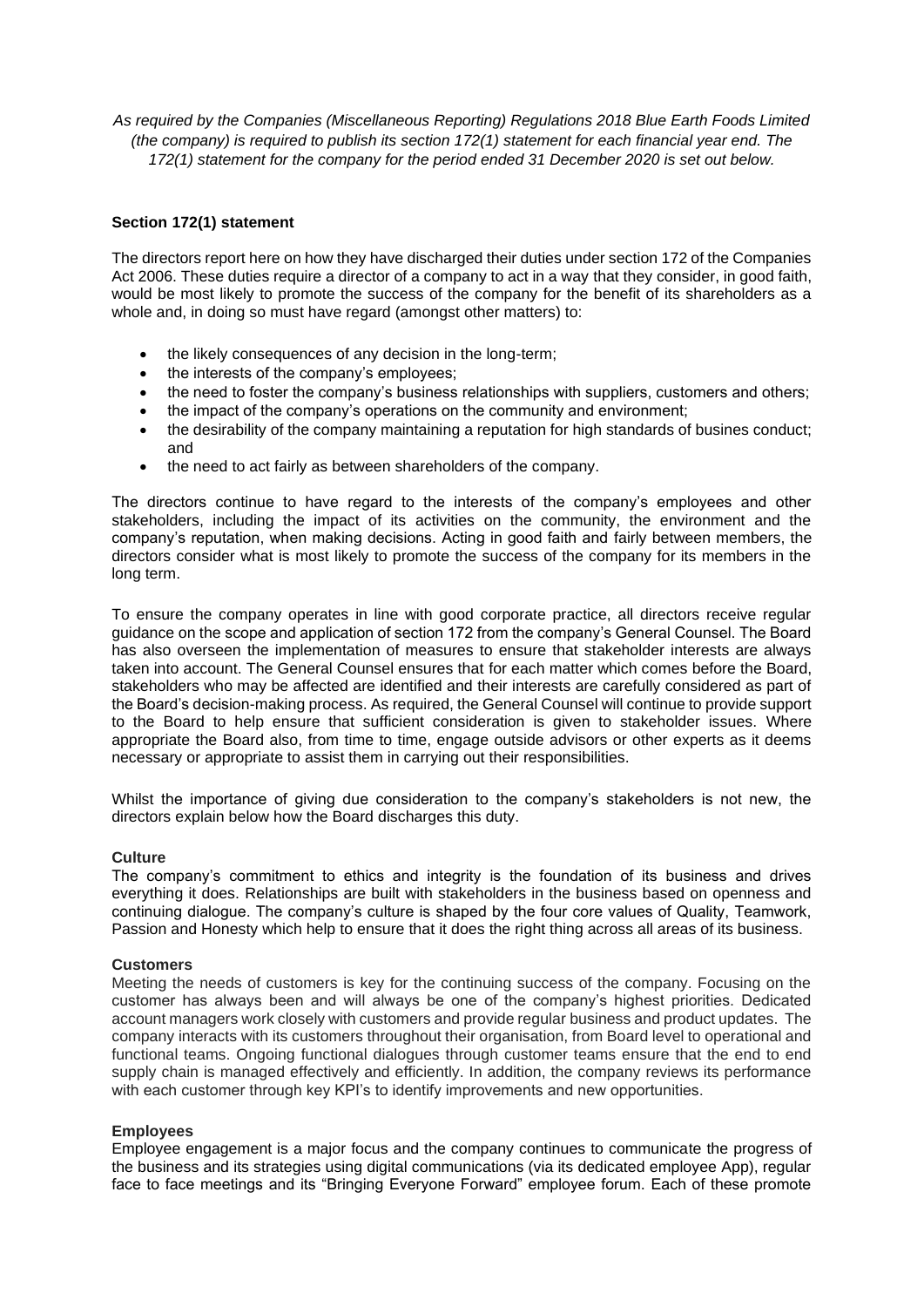*As required by the Companies (Miscellaneous Reporting) Regulations 2018 Blue Earth Foods Limited (the company) is required to publish its section 172(1) statement for each financial year end. The 172(1) statement for the company for the period ended 31 December 2020 is set out below.* 

# **Section 172(1) statement**

The directors report here on how they have discharged their duties under section 172 of the Companies Act 2006. These duties require a director of a company to act in a way that they consider, in good faith, would be most likely to promote the success of the company for the benefit of its shareholders as a whole and, in doing so must have regard (amongst other matters) to:

- the likely consequences of any decision in the long-term;
- the interests of the company's employees:
- the need to foster the company's business relationships with suppliers, customers and others;
- the impact of the company's operations on the community and environment;
- the desirability of the company maintaining a reputation for high standards of busines conduct; and
- the need to act fairly as between shareholders of the company.

The directors continue to have regard to the interests of the company's employees and other stakeholders, including the impact of its activities on the community, the environment and the company's reputation, when making decisions. Acting in good faith and fairly between members, the directors consider what is most likely to promote the success of the company for its members in the long term.

To ensure the company operates in line with good corporate practice, all directors receive regular guidance on the scope and application of section 172 from the company's General Counsel. The Board has also overseen the implementation of measures to ensure that stakeholder interests are always taken into account. The General Counsel ensures that for each matter which comes before the Board, stakeholders who may be affected are identified and their interests are carefully considered as part of the Board's decision-making process. As required, the General Counsel will continue to provide support to the Board to help ensure that sufficient consideration is given to stakeholder issues. Where appropriate the Board also, from time to time, engage outside advisors or other experts as it deems necessary or appropriate to assist them in carrying out their responsibilities.

Whilst the importance of giving due consideration to the company's stakeholders is not new, the directors explain below how the Board discharges this duty.

### **Culture**

The company's commitment to ethics and integrity is the foundation of its business and drives everything it does. Relationships are built with stakeholders in the business based on openness and continuing dialogue. The company's culture is shaped by the four core values of Quality, Teamwork, Passion and Honesty which help to ensure that it does the right thing across all areas of its business.

### **Customers**

Meeting the needs of customers is key for the continuing success of the company. Focusing on the customer has always been and will always be one of the company's highest priorities. Dedicated account managers work closely with customers and provide regular business and product updates. The company interacts with its customers throughout their organisation, from Board level to operational and functional teams. Ongoing functional dialogues through customer teams ensure that the end to end supply chain is managed effectively and efficiently. In addition, the company reviews its performance with each customer through key KPI's to identify improvements and new opportunities.

### **Employees**

Employee engagement is a major focus and the company continues to communicate the progress of the business and its strategies using digital communications (via its dedicated employee App), regular face to face meetings and its "Bringing Everyone Forward" employee forum. Each of these promote